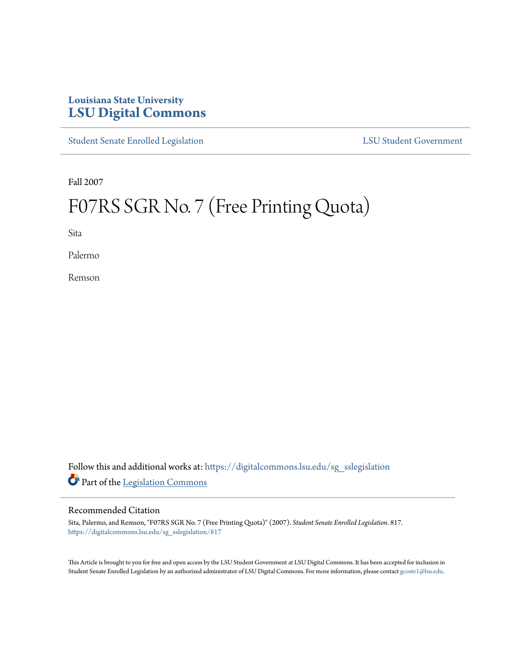## **Louisiana State University [LSU Digital Commons](https://digitalcommons.lsu.edu?utm_source=digitalcommons.lsu.edu%2Fsg_sslegislation%2F817&utm_medium=PDF&utm_campaign=PDFCoverPages)**

[Student Senate Enrolled Legislation](https://digitalcommons.lsu.edu/sg_sslegislation?utm_source=digitalcommons.lsu.edu%2Fsg_sslegislation%2F817&utm_medium=PDF&utm_campaign=PDFCoverPages) [LSU Student Government](https://digitalcommons.lsu.edu/sg?utm_source=digitalcommons.lsu.edu%2Fsg_sslegislation%2F817&utm_medium=PDF&utm_campaign=PDFCoverPages)

Fall 2007

# F07RS SGR No. 7 (Free Printing Quota)

Sita

Palermo

Remson

Follow this and additional works at: [https://digitalcommons.lsu.edu/sg\\_sslegislation](https://digitalcommons.lsu.edu/sg_sslegislation?utm_source=digitalcommons.lsu.edu%2Fsg_sslegislation%2F817&utm_medium=PDF&utm_campaign=PDFCoverPages) Part of the [Legislation Commons](http://network.bepress.com/hgg/discipline/859?utm_source=digitalcommons.lsu.edu%2Fsg_sslegislation%2F817&utm_medium=PDF&utm_campaign=PDFCoverPages)

#### Recommended Citation

Sita, Palermo, and Remson, "F07RS SGR No. 7 (Free Printing Quota)" (2007). *Student Senate Enrolled Legislation*. 817. [https://digitalcommons.lsu.edu/sg\\_sslegislation/817](https://digitalcommons.lsu.edu/sg_sslegislation/817?utm_source=digitalcommons.lsu.edu%2Fsg_sslegislation%2F817&utm_medium=PDF&utm_campaign=PDFCoverPages)

This Article is brought to you for free and open access by the LSU Student Government at LSU Digital Commons. It has been accepted for inclusion in Student Senate Enrolled Legislation by an authorized administrator of LSU Digital Commons. For more information, please contact [gcoste1@lsu.edu.](mailto:gcoste1@lsu.edu)